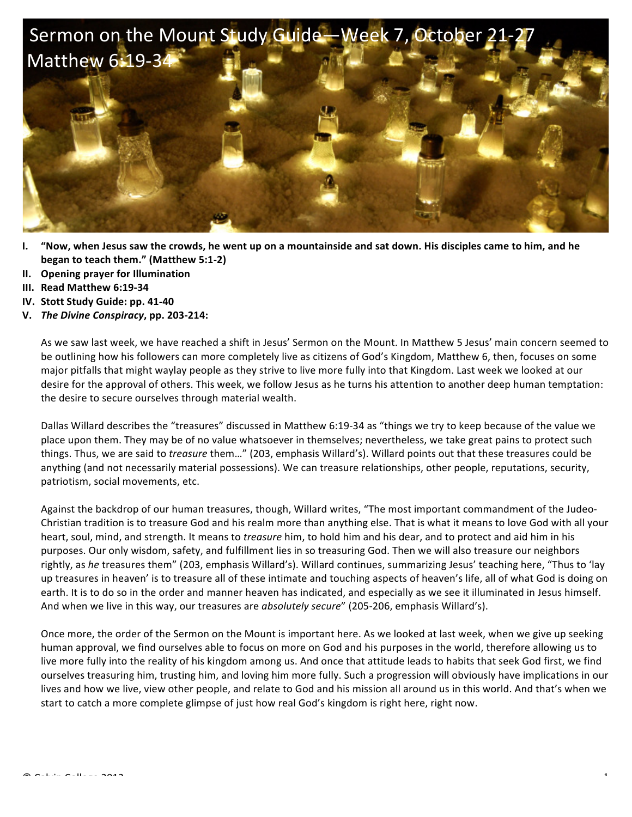

- **I.** "Now, when Jesus saw the crowds, he went up on a mountainside and sat down. His disciples came to him, and he **began to teach them."** (Matthew 5:1-2)
- **II. Opening prayer for Illumination**
- **III. Read Matthew 6:19-34**
- **IV.** Stott Study Guide: pp. 41-40
- **V.** *The Divine Conspiracy***, pp. 203-214:**

As we saw last week, we have reached a shift in Jesus' Sermon on the Mount. In Matthew 5 Jesus' main concern seemed to be outlining how his followers can more completely live as citizens of God's Kingdom, Matthew 6, then, focuses on some major pitfalls that might waylay people as they strive to live more fully into that Kingdom. Last week we looked at our desire for the approval of others. This week, we follow Jesus as he turns his attention to another deep human temptation: the desire to secure ourselves through material wealth.

Dallas Willard describes the "treasures" discussed in Matthew 6:19-34 as "things we try to keep because of the value we place upon them. They may be of no value whatsoever in themselves; nevertheless, we take great pains to protect such things. Thus, we are said to *treasure* them..." (203, emphasis Willard's). Willard points out that these treasures could be anything (and not necessarily material possessions). We can treasure relationships, other people, reputations, security, patriotism, social movements, etc.

Against the backdrop of our human treasures, though, Willard writes, "The most important commandment of the Judeo-Christian tradition is to treasure God and his realm more than anything else. That is what it means to love God with all your heart, soul, mind, and strength. It means to *treasure* him, to hold him and his dear, and to protect and aid him in his purposes. Our only wisdom, safety, and fulfillment lies in so treasuring God. Then we will also treasure our neighbors rightly, as *he* treasures them" (203, emphasis Willard's). Willard continues, summarizing Jesus' teaching here, "Thus to 'lay up treasures in heaven' is to treasure all of these intimate and touching aspects of heaven's life, all of what God is doing on earth. It is to do so in the order and manner heaven has indicated, and especially as we see it illuminated in Jesus himself. And when we live in this way, our treasures are *absolutely secure*" (205-206, emphasis Willard's).

Once more, the order of the Sermon on the Mount is important here. As we looked at last week, when we give up seeking human approval, we find ourselves able to focus on more on God and his purposes in the world, therefore allowing us to live more fully into the reality of his kingdom among us. And once that attitude leads to habits that seek God first, we find ourselves treasuring him, trusting him, and loving him more fully. Such a progression will obviously have implications in our lives and how we live, view other people, and relate to God and his mission all around us in this world. And that's when we start to catch a more complete glimpse of just how real God's kingdom is right here, right now.